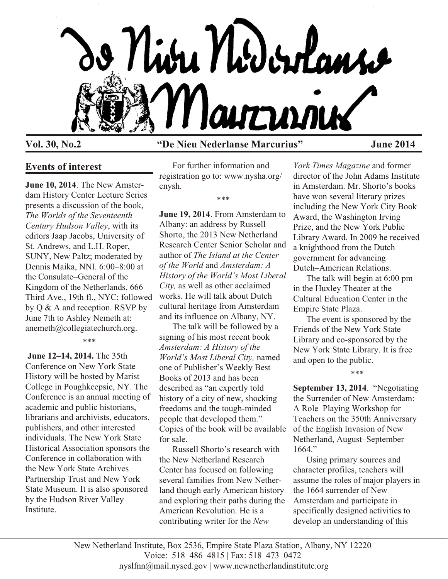

## **Vol. 30, No.2 "De Nieu Nederlanse Marcurius" June 2014**

# **Events of interest**

**June 10, 2014**. The New Amsterdam History Center Lecture Series presents a discussion of the book, *The Worlds of the Seventeenth Century Hudson Valley*, with its editors Jaap Jacobs, University of St. Andrews, and L.H. Roper, SUNY, New Paltz; moderated by Dennis Maika, NNI. 6:00–8:00 at the Consulate–General of the Kingdom of the Netherlands, 666 Third Ave., 19th fl., NYC; followed by Q & A and reception. RSVP by June 7th to Ashley Nemeth at: anemeth@collegiatechurch.org.

#### \*\*\*

**June 12–14, 2014.** The 35th Conference on New York State History will be hosted by Marist College in Poughkeepsie, NY. The Conference is an annual meeting of academic and public historians, librarians and archivists, educators, publishers, and other interested individuals. The New York State Historical Association sponsors the Conference in collaboration with the New York State Archives Partnership Trust and New York State Museum. It is also sponsored by the Hudson River Valley Institute.

For further information and registration go to: www.nysha.org/ cnysh.

\*\*\*

**June 19, 2014**. From Amsterdam to Albany: an address by Russell Shorto, the 2013 New Netherland Research Center Senior Scholar and author of *The Island at the Center of the World* and *Amsterdam: A History of the World's Most Liberal City,* as well as other acclaimed works. He will talk about Dutch cultural heritage from Amsterdam and its influence on Albany, NY.

The talk will be followed by a signing of his most recent book *Amsterdam: A History of the World's Most Liberal City,* named one of Publisher's Weekly Best Books of 2013 and has been described as "an expertly told history of a city of new, shocking freedoms and the tough-minded people that developed them." Copies of the book will be available for sale.

Russell Shorto's research with the New Netherland Research Center has focused on following several families from New Netherland though early American history and exploring their paths during the American Revolution. He is a contributing writer for the *New*

*York Times Magazine* and former director of the John Adams Institute in Amsterdam. Mr. Shorto's books have won several literary prizes including the New York City Book Award, the Washington Irving Prize, and the New York Public Library Award. In 2009 he received a knighthood from the Dutch government for advancing Dutch–American Relations.

The talk will begin at 6:00 pm in the Huxley Theater at the Cultural Education Center in the Empire State Plaza.

The event is sponsored by the Friends of the New York State Library and co-sponsored by the New York State Library. It is free and open to the public.

\*\*\*

**September 13, 2014**. "Negotiating the Surrender of New Amsterdam: A Role–Playing Workshop for Teachers on the 350th Anniversary of the English Invasion of New Netherland, August–September 1664."

Using primary sources and character profiles, teachers will assume the roles of major players in the 1664 surrender of New Amsterdam and participate in specifically designed activities to develop an understanding of this

New Netherland Institute, Box 2536, Empire State Plaza Station, Albany, NY 12220 Voice: 518–486–4815 | Fax: 518–473–0472 nyslfnn@mail.nysed.gov | www.newnetherlandinstitute.org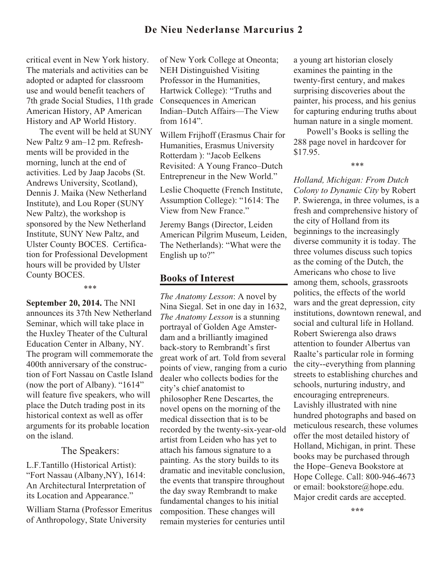## **De Nieu Nederlanse Marcurius 2**

critical event in New York history. The materials and activities can be adopted or adapted for classroom use and would benefit teachers of 7th grade Social Studies, 11th grade American History, AP American History and AP World History.

The event will be held at SUNY New Paltz 9 am–12 pm. Refreshments will be provided in the morning, lunch at the end of activities. Led by Jaap Jacobs (St. Andrews University, Scotland), Dennis J. Maika (New Netherland Institute), and Lou Roper (SUNY New Paltz), the workshop is sponsored by the New Netherland Institute, SUNY New Paltz, and Ulster County BOCES. Certification for Professional Development hours will be provided by Ulster County BOCES.

\*\*\*

**September 20, 2014.** The NNI announces its 37th New Netherland Seminar, which will take place in the Huxley Theater of the Cultural Education Center in Albany, NY. The program will commemorate the 400th anniversary of the construction of Fort Nassau on Castle Island (now the port of Albany). "1614" will feature five speakers, who will place the Dutch trading post in its historical context as well as offer arguments for its probable location on the island.

## The Speakers:

L.F.Tantillo (Historical Artist): "Fort Nassau (Albany,NY), 1614: An Architectural Interpretation of its Location and Appearance."

William Starna (Professor Emeritus of Anthropology, State University

of New York College at Oneonta; NEH Distinguished Visiting Professor in the Humanities, Hartwick College): "Truths and Consequences in American Indian–Dutch Affairs—The View from 1614".

Willem Frijhoff (Erasmus Chair for Humanities, Erasmus University Rotterdam ): "Jacob Eelkens Revisited: A Young Franco–Dutch Entrepreneur in the New World."

Leslie Choquette (French Institute, Assumption College): "1614: The View from New France."

Jeremy Bangs (Director, Leiden American Pilgrim Museum, Leiden, The Netherlands): "What were the English up to?"

## **Books of Interest**

*The Anatomy Lesson*: A novel by Nina Siegal. Set in one day in 1632, *The Anatomy Lesson* is a stunning portrayal of Golden Age Amsterdam and a brilliantly imagined back-story to Rembrandt's first great work of art. Told from several points of view, ranging from a curio dealer who collects bodies for the city's chief anatomist to philosopher Rene Descartes, the novel opens on the morning of the medical dissection that is to be recorded by the twenty-six-year-old artist from Leiden who has yet to attach his famous signature to a painting. As the story builds to its dramatic and inevitable conclusion, the events that transpire throughout the day sway Rembrandt to make fundamental changes to his initial composition. These changes will remain mysteries for centuries until

a young art historian closely examines the painting in the twenty-first century, and makes surprising discoveries about the painter, his process, and his genius for capturing enduring truths about human nature in a single moment.

Powell's Books is selling the 288 page novel in hardcover for \$17.95.

\*\*\*

*Holland, Michigan: From Dutch Colony to Dynamic City* by Robert P. Swierenga, in three volumes, is a fresh and comprehensive history of the city of Holland from its beginnings to the increasingly diverse community it is today. The three volumes discuss such topics as the coming of the Dutch, the Americans who chose to live among them, schools, grassroots politics, the effects of the world wars and the great depression, city institutions, downtown renewal, and social and cultural life in Holland. Robert Swierenga also draws attention to founder Albertus van Raalte's particular role in forming the city--everything from planning streets to establishing churches and schools, nurturing industry, and encouraging entrepreneurs. Lavishly illustrated with nine hundred photographs and based on meticulous research, these volumes offer the most detailed history of Holland, Michigan, in print. These books may be purchased through the Hope–Geneva Bookstore at Hope College. Call: 800-946-4673 or email: bookstore@hope.edu. Major credit cards are accepted.

**\*\*\***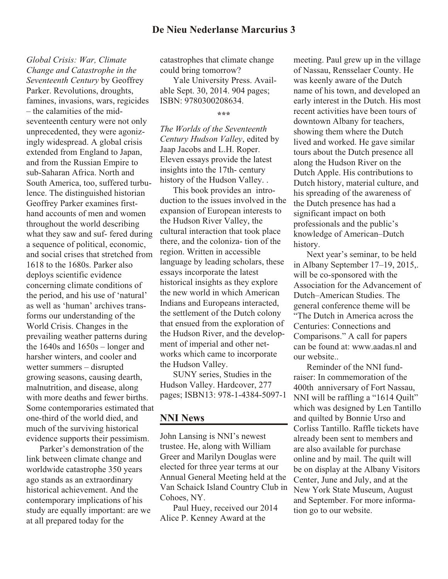*Global Crisis: War, Climate Change and Catastrophe in the Seventeenth Century* by Geoffrey Parker. Revolutions, droughts, famines, invasions, wars, regicides – the calamities of the midseventeenth century were not only unprecedented, they were agonizingly widespread. A global crisis extended from England to Japan, and from the Russian Empire to sub-Saharan Africa. North and South America, too, suffered turbulence. The distinguished historian Geoffrey Parker examines firsthand accounts of men and women throughout the world describing what they saw and suf- fered during a sequence of political, economic, and social crises that stretched from 1618 to the 1680s. Parker also deploys scientific evidence concerning climate conditions of the period, and his use of 'natural' as well as 'human' archives transforms our understanding of the World Crisis. Changes in the prevailing weather patterns during the 1640s and 1650s – longer and harsher winters, and cooler and wetter summers – disrupted growing seasons, causing dearth, malnutrition, and disease, along with more deaths and fewer births. Some contemporaries estimated that one-third of the world died, and much of the surviving historical evidence supports their pessimism.

Parker's demonstration of the link between climate change and worldwide catastrophe 350 years ago stands as an extraordinary historical achievement. And the contemporary implications of his study are equally important: are we at all prepared today for the

catastrophes that climate change could bring tomorrow?

Yale University Press. Available Sept. 30, 2014. 904 pages; ISBN: 9780300208634.

**\*\*\***

*The Worlds of the Seventeenth Century Hudson Valley*, edited by Jaap Jacobs and L.H. Roper. Eleven essays provide the latest insights into the 17th- century history of the Hudson Valley. .

This book provides an introduction to the issues involved in the expansion of European interests to the Hudson River Valley, the cultural interaction that took place there, and the coloniza- tion of the region. Written in accessible language by leading scholars, these essays incorporate the latest historical insights as they explore the new world in which American Indians and Europeans interacted, the settlement of the Dutch colony that ensued from the exploration of the Hudson River, and the development of imperial and other networks which came to incorporate the Hudson Valley.

SUNY series, Studies in the Hudson Valley. Hardcover, 277 pages; ISBN13: 978-1-4384-5097-1

## **NNI News**

John Lansing is NNI's newest trustee. He, along with William Greer and Marilyn Douglas were elected for three year terms at our Annual General Meeting held at the Van Schaick Island Country Club in Cohoes, NY.

Paul Huey, received our 2014 Alice P. Kenney Award at the

meeting. Paul grew up in the village of Nassau, Rensselaer County. He was keenly aware of the Dutch name of his town, and developed an early interest in the Dutch. His most recent activities have been tours of downtown Albany for teachers, showing them where the Dutch lived and worked. He gave similar tours about the Dutch presence all along the Hudson River on the Dutch Apple. His contributions to Dutch history, material culture, and his spreading of the awareness of the Dutch presence has had a significant impact on both professionals and the public's knowledge of American–Dutch history.

Next year's seminar, to be held in Albany September 17–19, 2015,. will be co-sponsored with the Association for the Advancement of Dutch–American Studies. The general conference theme will be "The Dutch in America across the Centuries: Connections and Comparisons." A call for papers can be found at: www.aadas.nl and our website..

Reminder of the NNI fundraiser: In commemoration of the 400th anniversary of Fort Nassau, NNI will be raffling a "1614 Quilt" which was designed by Len Tantillo and quilted by Bonnie Urso and Corliss Tantillo. Raffle tickets have already been sent to members and are also available for purchase online and by mail. The quilt will be on display at the Albany Visitors Center, June and July, and at the New York State Museum, August and September. For more information go to our website.